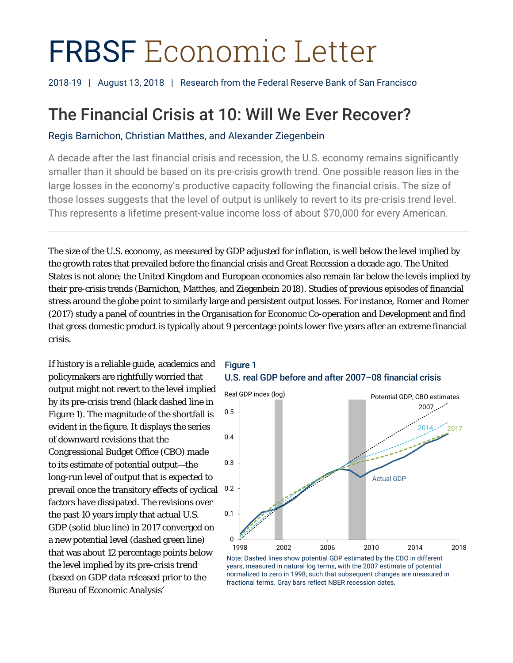# FRBSF Economic Letter

2018-19 | August 13, 2018 | Research from the Federal Reserve Bank of San Francisco

## The Financial Crisis at 10: Will We Ever Recover?

Regis Barnichon, Christian Matthes, and Alexander Ziegenbein

A decade after the last financial crisis and recession, the U.S. economy remains significantly smaller than it should be based on its pre-crisis growth trend. One possible reason lies in the large losses in the economy's productive capacity following the financial crisis. The size of those losses suggests that the level of output is unlikely to revert to its pre-crisis trend level. This represents a lifetime present-value income loss of about \$70,000 for every American.

The size of the U.S. economy, as measured by GDP adjusted for inflation, is well below the level implied by the growth rates that prevailed before the financial crisis and Great Recession a decade ago. The United States is not alone; the United Kingdom and European economies also remain far below the levels implied by their pre-crisis trends (Barnichon, Matthes, and Ziegenbein 2018). Studies of previous episodes of financial stress around the globe point to similarly large and persistent output losses. For instance, Romer and Romer (2017) study a panel of countries in the Organisation for Economic Co-operation and Development and find that gross domestic product is typically about 9 percentage points lower five years after an extreme financial crisis.

If history is a reliable guide, academics and policymakers are rightfully worried that output might not revert to the level implied by its pre-crisis trend (black dashed line in Figure 1). The magnitude of the shortfall is evident in the figure. It displays the series of downward revisions that the Congressional Budget Office (CBO) made to its estimate of potential output—the long-run level of output that is expected to prevail once the transitory effects of cyclical factors have dissipated. The revisions over the past 10 years imply that actual U.S. GDP (solid blue line) in 2017 converged on a new potential level (dashed green line) that was about 12 percentage points below the level implied by its pre-crisis trend (based on GDP data released prior to the Bureau of Economic Analysis'





Note: Dashed lines show potential GDP estimated by the CBO in different years, measured in natural log terms, with the 2007 estimate of potential normalized to zero in 1998, such that subsequent changes are measured in fractional terms. Gray bars reflect NBER recession dates.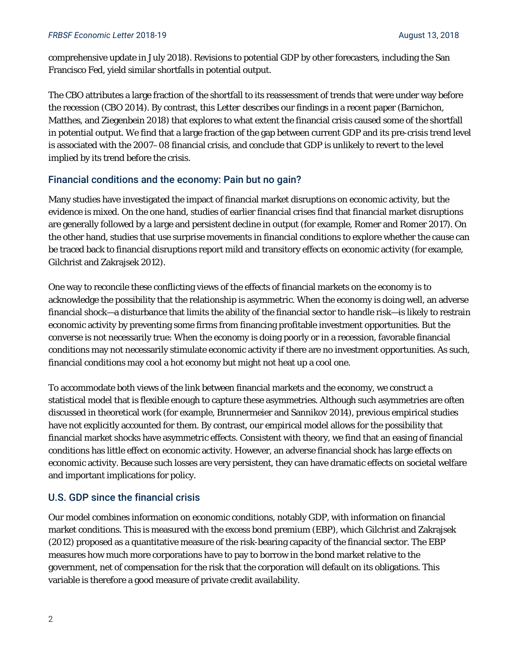comprehensive update in July 2018). Revisions to potential GDP by other forecasters, including the San Francisco Fed, yield similar shortfalls in potential output.

The CBO attributes a large fraction of the shortfall to its reassessment of trends that were under way before the recession (CBO 2014). By contrast, this *Letter* describes our findings in a recent paper (Barnichon, Matthes, and Ziegenbein 2018) that explores to what extent the financial crisis caused some of the shortfall in potential output. We find that a large fraction of the gap between current GDP and its pre-crisis trend level is associated with the 2007–08 financial crisis, and conclude that GDP is unlikely to revert to the level implied by its trend before the crisis.

#### Financial conditions and the economy: Pain but no gain?

Many studies have investigated the impact of financial market disruptions on economic activity, but the evidence is mixed. On the one hand, studies of earlier financial crises find that financial market disruptions are generally followed by a large and persistent decline in output (for example, Romer and Romer 2017). On the other hand, studies that use surprise movements in financial conditions to explore whether the cause can be traced back to financial disruptions report mild and transitory effects on economic activity (for example, Gilchrist and Zakrajsek 2012).

One way to reconcile these conflicting views of the effects of financial markets on the economy is to acknowledge the possibility that the relationship is asymmetric. When the economy is doing well, an adverse financial shock—a disturbance that limits the ability of the financial sector to handle risk—is likely to restrain economic activity by preventing some firms from financing profitable investment opportunities. But the converse is not necessarily true: When the economy is doing poorly or in a recession, favorable financial conditions may not necessarily stimulate economic activity if there are no investment opportunities. As such, financial conditions may cool a hot economy but might not heat up a cool one.

To accommodate both views of the link between financial markets and the economy, we construct a statistical model that is flexible enough to capture these asymmetries. Although such asymmetries are often discussed in theoretical work (for example, Brunnermeier and Sannikov 2014), previous empirical studies have not explicitly accounted for them. By contrast, our empirical model allows for the possibility that financial market shocks have asymmetric effects. Consistent with theory, we find that an easing of financial conditions has little effect on economic activity. However, an adverse financial shock has large effects on economic activity. Because such losses are very persistent, they can have dramatic effects on societal welfare and important implications for policy.

### U.S. GDP since the financial crisis

Our model combines information on economic conditions, notably GDP, with information on financial market conditions. This is measured with the excess bond premium (EBP), which Gilchrist and Zakrajsek (2012) proposed as a quantitative measure of the risk-bearing capacity of the financial sector. The EBP measures how much more corporations have to pay to borrow in the bond market relative to the government, net of compensation for the risk that the corporation will default on its obligations. This variable is therefore a good measure of private credit availability.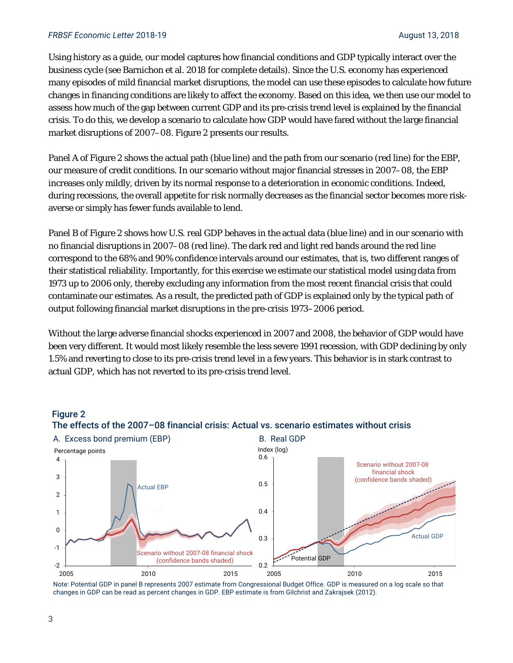#### **FRBSF Economic Letter 2018-19** August 13, 2018

Using history as a guide, our model captures how financial conditions and GDP typically interact over the business cycle (see Barnichon et al. 2018 for complete details). Since the U.S. economy has experienced many episodes of mild financial market disruptions, the model can use these episodes to calculate how future changes in financing conditions are likely to affect the economy. Based on this idea, we then use our model to assess how much of the gap between current GDP and its pre-crisis trend level is explained by the financial crisis. To do this, we develop a scenario to calculate how GDP would have fared without the large financial market disruptions of 2007–08. Figure 2 presents our results.

Panel A of Figure 2 shows the actual path (blue line) and the path from our scenario (red line) for the EBP, our measure of credit conditions. In our scenario without major financial stresses in 2007–08, the EBP increases only mildly, driven by its normal response to a deterioration in economic conditions. Indeed, during recessions, the overall appetite for risk normally decreases as the financial sector becomes more riskaverse or simply has fewer funds available to lend.

Panel B of Figure 2 shows how U.S. real GDP behaves in the actual data (blue line) and in our scenario with no financial disruptions in 2007–08 (red line). The dark red and light red bands around the red line correspond to the 68% and 90% confidence intervals around our estimates, that is, two different ranges of their statistical reliability. Importantly, for this exercise we estimate our statistical model using data from 1973 up to 2006 only, thereby excluding any information from the most recent financial crisis that could contaminate our estimates. As a result, the predicted path of GDP is explained only by the typical path of output following financial market disruptions in the pre-crisis 1973–2006 period.

Without the large adverse financial shocks experienced in 2007 and 2008, the behavior of GDP would have been very different. It would most likely resemble the less severe 1991 recession, with GDP declining by only 1.5% and reverting to close to its pre-crisis trend level in a few years. This behavior is in stark contrast to actual GDP, which has not reverted to its pre-crisis trend level.

#### A. Excess bond premium (EBP) B. Real GDP -2 -1 0 1 2 3 4 2005 2010 2015 Percentage points Scenario without 2007-08 financial shock (confidence bands shaded) Actual EBP 0.2 0.3 0.4 0.5 0.6 2005 2010 2015 Actual GDP Potential GDP Scenario without 2007-08 financial shock (confidence bands shaded) Index (log)

Figure 2 The effects of the 2007–08 financial crisis: Actual vs. scenario estimates without crisis

Note: Potential GDP in panel B represents 2007 estimate from Congressional Budget Office. GDP is measured on a log scale so that changes in GDP can be read as percent changes in GDP. EBP estimate is from Gilchrist and Zakrajsek (2012).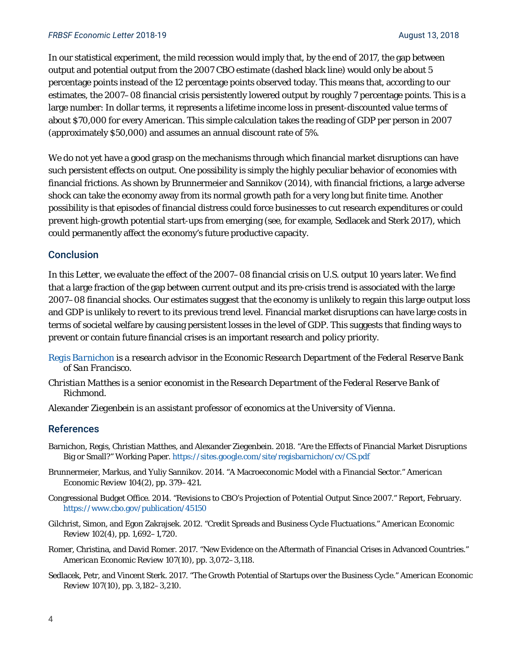In our statistical experiment, the mild recession would imply that, by the end of 2017, the gap between output and potential output from the 2007 CBO estimate (dashed black line) would only be about 5 percentage points instead of the 12 percentage points observed today. This means that, according to our estimates, the 2007–08 financial crisis persistently lowered output by roughly 7 percentage points. This is a large number: In dollar terms, it represents a lifetime income loss in present-discounted value terms of about \$70,000 for every American. This simple calculation takes the reading of GDP per person in 2007 (approximately \$50,000) and assumes an annual discount rate of 5%.

We do not yet have a good grasp on the mechanisms through which financial market disruptions can have such persistent effects on output. One possibility is simply the highly peculiar behavior of economies with financial frictions. As shown by Brunnermeier and Sannikov (2014), with financial frictions, a large adverse shock can take the economy away from its normal growth path for a very long but finite time. Another possibility is that episodes of financial distress could force businesses to cut research expenditures or could prevent high-growth potential start-ups from emerging (see, for example, Sedlacek and Sterk 2017), which could permanently affect the economy's future productive capacity.

#### **Conclusion**

In this *Letter*, we evaluate the effect of the 2007–08 financial crisis on U.S. output 10 years later. We find that a large fraction of the gap between current output and its pre-crisis trend is associated with the large 2007–08 financial shocks. Our estimates suggest that the economy is unlikely to regain this large output loss and GDP is unlikely to revert to its previous trend level. Financial market disruptions can have large costs in terms of societal welfare by causing persistent losses in the level of GDP. This suggests that finding ways to prevent or contain future financial crises is an important research and policy priority.

- *[Regis Barnichon](https://www.frbsf.org/economic-research/economists/regis-barnichon/) is a research advisor in the Economic Research Department of the Federal Reserve Bank of San Francisco.*
- *Christian Matthes is a senior economist in the Research Department of the Federal Reserve Bank of Richmond.*
- *Alexander Ziegenbein is an assistant professor of economics at the University of Vienna.*

#### References

- Barnichon, Regis, Christian Matthes, and Alexander Ziegenbein. 2018. "Are the Effects of Financial Market Disruptions Big or Small?" Working Paper. <https://sites.google.com/site/regisbarnichon/cv/CS.pdf>
- Brunnermeier, Markus, and Yuliy Sannikov. 2014. "A Macroeconomic Model with a Financial Sector." *American Economic Review* 104(2), pp. 379–421.
- Congressional Budget Office. 2014. "Revisions to CBO's Projection of Potential Output Since 2007." Report, February. <https://www.cbo.gov/publication/45150>
- Gilchrist, Simon, and Egon Zakrajsek. 2012. "Credit Spreads and Business Cycle Fluctuations." *American Economic Review* 102(4), pp. 1,692–1,720.
- Romer, Christina, and David Romer. 2017. "New Evidence on the Aftermath of Financial Crises in Advanced Countries." *American Economic Review* 107(10), pp. 3,072–3,118.
- Sedlacek, Petr, and Vincent Sterk. 2017. "The Growth Potential of Startups over the Business Cycle." *American Economic Review* 107(10), pp. 3,182–3,210.